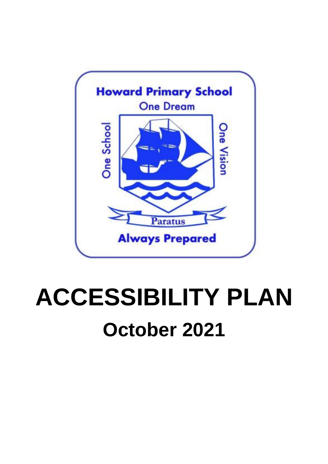

# **ACCESSIBILITY PLAN October 2021**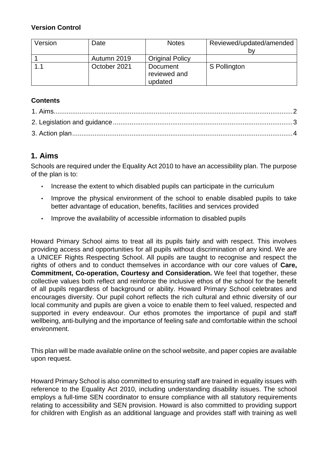#### **Version Control**

| Version | Date         | <b>Notes</b>                        | Reviewed/updated/amended |
|---------|--------------|-------------------------------------|--------------------------|
|         |              |                                     | Dν                       |
|         | Autumn 2019  | <b>Original Policy</b>              |                          |
| 1.1     | October 2021 | Document<br>reviewed and<br>updated | S Pollington             |

#### **Contents**

## <span id="page-1-0"></span>**1. Aims**

Schools are required under the Equality Act 2010 to have an accessibility plan. The purpose of the plan is to:

- Increase the extent to which disabled pupils can participate in the curriculum
- Improve the physical environment of the school to enable disabled pupils to take better advantage of education, benefits, facilities and services provided
- Improve the availability of accessible information to disabled pupils

Howard Primary School aims to treat all its pupils fairly and with respect. This involves providing access and opportunities for all pupils without discrimination of any kind. We are a UNICEF Rights Respecting School. All pupils are taught to recognise and respect the rights of others and to conduct themselves in accordance with our core values of **Care, Commitment, Co-operation, Courtesy and Consideration.** We feel that together, these collective values both reflect and reinforce the inclusive ethos of the school for the benefit of all pupils regardless of background or ability. Howard Primary School celebrates and encourages diversity. Our pupil cohort reflects the rich cultural and ethnic diversity of our local community and pupils are given a voice to enable them to feel valued, respected and supported in every endeavour. Our ethos promotes the importance of pupil and staff wellbeing, anti-bullying and the importance of feeling safe and comfortable within the school environment.

This plan will be made available online on the school website, and paper copies are available upon request.

Howard Primary School is also committed to ensuring staff are trained in equality issues with reference to the Equality Act 2010, including understanding disability issues. The school employs a full-time SEN coordinator to ensure compliance with all statutory requirements relating to accessibility and SEN provision. Howard is also committed to providing support for children with English as an additional language and provides staff with training as well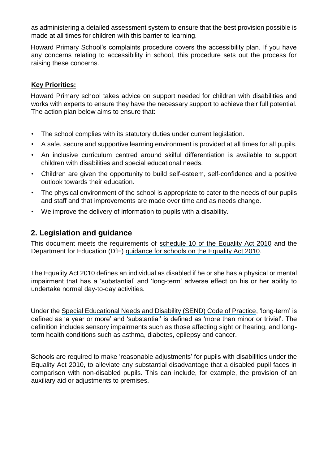as administering a detailed assessment system to ensure that the best provision possible is made at all times for children with this barrier to learning.

Howard Primary School's complaints procedure covers the accessibility plan. If you have any concerns relating to accessibility in school, this procedure sets out the process for raising these concerns.

#### **Key Priorities:**

Howard Primary school takes advice on support needed for children with disabilities and works with experts to ensure they have the necessary support to achieve their full potential. The action plan below aims to ensure that:

- The school complies with its statutory duties under current legislation.
- A safe, secure and supportive learning environment is provided at all times for all pupils.
- An inclusive curriculum centred around skilful differentiation is available to support children with disabilities and special educational needs.
- Children are given the opportunity to build self-esteem, self-confidence and a positive outlook towards their education.
- The physical environment of the school is appropriate to cater to the needs of our pupils and staff and that improvements are made over time and as needs change.
- We improve the delivery of information to pupils with a disability.

## <span id="page-2-0"></span>**2. Legislation and guidance**

This document meets the requirements of [schedule 10 of the Equality Act 2010](http://www.legislation.gov.uk/ukpga/2010/15/schedule/10) and the Department for Education (DfE) [guidance for schools on the Equality Act 2010.](https://www.gov.uk/government/publications/equality-act-2010-advice-for-schools)

The Equality Act 2010 defines an individual as disabled if he or she has a physical or mental impairment that has a 'substantial' and 'long-term' adverse effect on his or her ability to undertake normal day-to-day activities.

Under the [Special Educational Needs and Disability \(SEND\) Code of Practice,](https://www.gov.uk/government/publications/send-code-of-practice-0-to-25) 'long-term' is defined as 'a year or more' and 'substantial' is defined as 'more than minor or trivial'. The definition includes sensory impairments such as those affecting sight or hearing, and longterm health conditions such as asthma, diabetes, epilepsy and cancer.

Schools are required to make 'reasonable adjustments' for pupils with disabilities under the Equality Act 2010, to alleviate any substantial disadvantage that a disabled pupil faces in comparison with non-disabled pupils. This can include, for example, the provision of an auxiliary aid or adjustments to premises.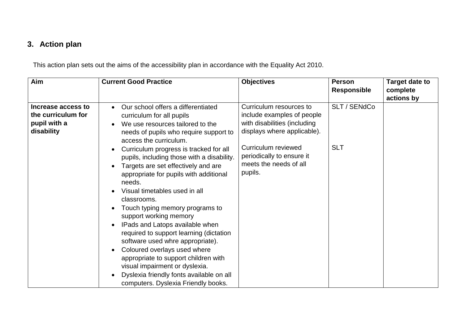# **3. Action plan**

This action plan sets out the aims of the accessibility plan in accordance with the Equality Act 2010.

<span id="page-3-0"></span>

| Aim                                                                    | <b>Current Good Practice</b>                                                                                                                                                                                                                                                                                                                                                                                                                                                                                                                                                                                                                                                                                                                                                                                                                            | <b>Objectives</b>                                                                                                                                                                                             | <b>Person</b><br><b>Responsible</b> | Target date to<br>complete |
|------------------------------------------------------------------------|---------------------------------------------------------------------------------------------------------------------------------------------------------------------------------------------------------------------------------------------------------------------------------------------------------------------------------------------------------------------------------------------------------------------------------------------------------------------------------------------------------------------------------------------------------------------------------------------------------------------------------------------------------------------------------------------------------------------------------------------------------------------------------------------------------------------------------------------------------|---------------------------------------------------------------------------------------------------------------------------------------------------------------------------------------------------------------|-------------------------------------|----------------------------|
| Increase access to<br>the curriculum for<br>pupil with a<br>disability | Our school offers a differentiated<br>curriculum for all pupils<br>We use resources tailored to the<br>needs of pupils who require support to<br>access the curriculum.<br>Curriculum progress is tracked for all<br>$\bullet$<br>pupils, including those with a disability.<br>Targets are set effectively and are<br>$\bullet$<br>appropriate for pupils with additional<br>needs.<br>Visual timetables used in all<br>$\bullet$<br>classrooms.<br>Touch typing memory programs to<br>$\bullet$<br>support working memory<br>IPads and Latops available when<br>$\bullet$<br>required to support learning (dictation<br>software used whre appropriate).<br>Coloured overlays used where<br>appropriate to support children with<br>visual impairment or dyslexia.<br>Dyslexia friendly fonts available on all<br>computers. Dyslexia Friendly books. | Curriculum resources to<br>include examples of people<br>with disabilities (including<br>displays where applicable).<br>Curriculum reviewed<br>periodically to ensure it<br>meets the needs of all<br>pupils. | SLT / SENdCo<br><b>SLT</b>          | actions by                 |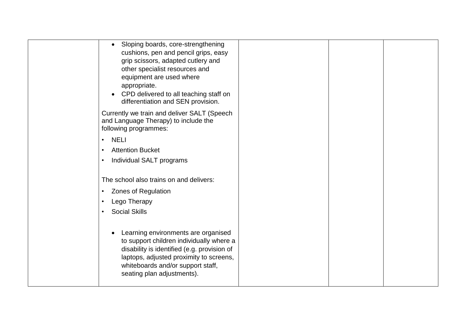| Sloping boards, core-strengthening<br>$\bullet$<br>cushions, pen and pencil grips, easy<br>grip scissors, adapted cutlery and<br>other specialist resources and<br>equipment are used where<br>appropriate.                                  |  |  |
|----------------------------------------------------------------------------------------------------------------------------------------------------------------------------------------------------------------------------------------------|--|--|
| CPD delivered to all teaching staff on<br>differentiation and SEN provision.                                                                                                                                                                 |  |  |
| Currently we train and deliver SALT (Speech<br>and Language Therapy) to include the<br>following programmes:                                                                                                                                 |  |  |
| <b>NELI</b><br>$\bullet$                                                                                                                                                                                                                     |  |  |
| <b>Attention Bucket</b><br>$\bullet$                                                                                                                                                                                                         |  |  |
| Individual SALT programs<br>$\bullet$                                                                                                                                                                                                        |  |  |
| The school also trains on and delivers:                                                                                                                                                                                                      |  |  |
| <b>Zones of Regulation</b><br>$\bullet$                                                                                                                                                                                                      |  |  |
| Lego Therapy<br>$\bullet$                                                                                                                                                                                                                    |  |  |
| <b>Social Skills</b><br>$\bullet$                                                                                                                                                                                                            |  |  |
| Learning environments are organised<br>to support children individually where a<br>disability is identified (e.g. provision of<br>laptops, adjusted proximity to screens,<br>whiteboards and/or support staff,<br>seating plan adjustments). |  |  |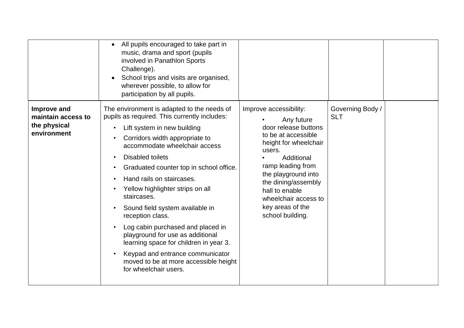|                                                                  | All pupils encouraged to take part in<br>$\bullet$<br>music, drama and sport (pupils<br>involved in Panathlon Sports<br>Challenge).<br>School trips and visits are organised,<br>wherever possible, to allow for<br>participation by all pupils.                                                                                                                                                                                                                                                                                                                                                                                   |                                                                                                                                                                                                                                                                                           |                                |  |
|------------------------------------------------------------------|------------------------------------------------------------------------------------------------------------------------------------------------------------------------------------------------------------------------------------------------------------------------------------------------------------------------------------------------------------------------------------------------------------------------------------------------------------------------------------------------------------------------------------------------------------------------------------------------------------------------------------|-------------------------------------------------------------------------------------------------------------------------------------------------------------------------------------------------------------------------------------------------------------------------------------------|--------------------------------|--|
| Improve and<br>maintain access to<br>the physical<br>environment | The environment is adapted to the needs of<br>pupils as required. This currently includes:<br>Lift system in new building<br>Corridors width appropriate to<br>accommodate wheelchair access<br><b>Disabled toilets</b><br>Graduated counter top in school office.<br>Hand rails on staircases.<br>Yellow highlighter strips on all<br>staircases.<br>Sound field system available in<br>reception class.<br>Log cabin purchased and placed in<br>playground for use as additional<br>learning space for children in year 3.<br>Keypad and entrance communicator<br>moved to be at more accessible height<br>for wheelchair users. | Improve accessibility:<br>Any future<br>door release buttons<br>to be at accessible<br>height for wheelchair<br>users.<br>Additional<br>ramp leading from<br>the playground into<br>the dining/assembly<br>hall to enable<br>wheelchair access to<br>key areas of the<br>school building. | Governing Body /<br><b>SLT</b> |  |